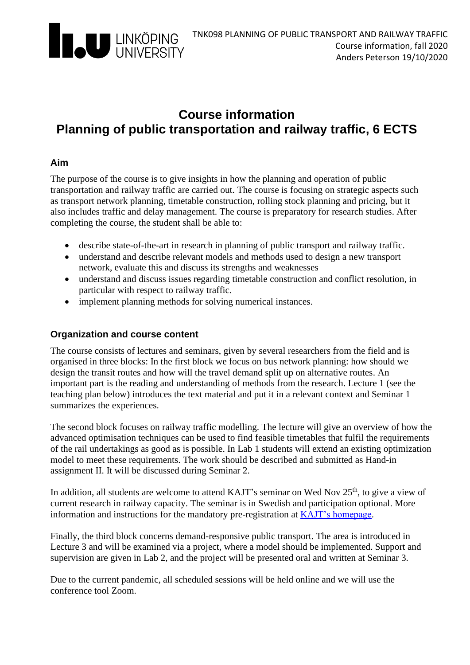

## **Course information Planning of public transportation and railway traffic, 6 ECTS**

#### **Aim**

The purpose of the course is to give insights in how the planning and operation of public transportation and railway traffic are carried out. The course is focusing on strategic aspects such as transport network planning, timetable construction, rolling stock planning and pricing, but it also includes traffic and delay management. The course is preparatory for research studies. After completing the course, the student shall be able to:

- describe state-of-the-art in research in planning of public transport and railway traffic.
- understand and describe relevant models and methods used to design a new transport network, evaluate this and discuss its strengths and weaknesses
- understand and discuss issues regarding timetable construction and conflict resolution, in particular with respect to railway traffic.
- implement planning methods for solving numerical instances.

#### **Organization and course content**

The course consists of lectures and seminars, given by several researchers from the field and is organised in three blocks: In the first block we focus on bus network planning: how should we design the transit routes and how will the travel demand split up on alternative routes. An important part is the reading and understanding of methods from the research. Lecture 1 (see the teaching plan below) introduces the text material and put it in a relevant context and Seminar 1 summarizes the experiences.

The second block focuses on railway traffic modelling. The lecture will give an overview of how the advanced optimisation techniques can be used to find feasible timetables that fulfil the requirements of the rail undertakings as good as is possible. In Lab 1 students will extend an existing optimization model to meet these requirements. The work should be described and submitted as Hand-in assignment II. It will be discussed during Seminar 2.

In addition, all students are welcome to attend KAJT's seminar on Wed Nov  $25<sup>th</sup>$ , to give a view of current research in railway capacity. The seminar is in Swedish and participation optional. More information and instructions for the mandatory pre-registration at [KAJT's homepage.](https://kajt.org/konferenser/h-stseminarium-2020.html)

Finally, the third block concerns demand-responsive public transport. The area is introduced in Lecture 3 and will be examined via a project, where a model should be implemented. Support and supervision are given in Lab 2, and the project will be presented oral and written at Seminar 3.

Due to the current pandemic, all scheduled sessions will be held online and we will use the conference tool Zoom.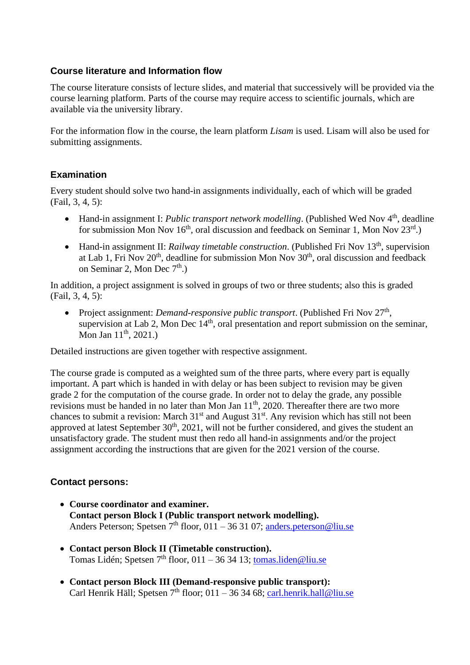#### **Course literature and Information flow**

The course literature consists of lecture slides, and material that successively will be provided via the course learning platform. Parts of the course may require access to scientific journals, which are available via the university library.

For the information flow in the course, the learn platform *Lisam* is used. Lisam will also be used for submitting assignments.

#### **Examination**

Every student should solve two hand-in assignments individually, each of which will be graded (Fail, 3, 4, 5):

- Hand-in assignment I: *Public transport network modelling*. (Published Wed Nov 4<sup>th</sup>, deadline for submission Mon Nov 16<sup>th</sup>, oral discussion and feedback on Seminar 1, Mon Nov 23<sup>rd</sup>.)
- Hand-in assignment II: *Railway timetable construction*. (Published Fri Nov 13<sup>th</sup>, supervision at Lab 1, Fri Nov  $20<sup>th</sup>$ , deadline for submission Mon Nov  $30<sup>th</sup>$ , oral discussion and feedback on Seminar 2, Mon Dec  $7<sup>th</sup>$ .)

In addition, a project assignment is solved in groups of two or three students; also this is graded (Fail, 3, 4, 5):

• Project assignment: *Demand-responsive public transport*. (Published Fri Nov 27<sup>th</sup>, supervision at Lab 2, Mon Dec  $14<sup>th</sup>$ , oral presentation and report submission on the seminar, Mon Jan  $11^{th}$ , 2021.)

Detailed instructions are given together with respective assignment.

The course grade is computed as a weighted sum of the three parts, where every part is equally important. A part which is handed in with delay or has been subject to revision may be given grade 2 for the computation of the course grade. In order not to delay the grade, any possible revisions must be handed in no later than Mon Jan  $11<sup>th</sup>$ , 2020. Thereafter there are two more chances to submit a revision: March  $31<sup>st</sup>$  and August  $31<sup>st</sup>$ . Any revision which has still not been approved at latest September  $30<sup>th</sup>$ ,  $2021$ , will not be further considered, and gives the student an unsatisfactory grade. The student must then redo all hand-in assignments and/or the project assignment according the instructions that are given for the 2021 version of the course.

#### **Contact persons:**

- **Course coordinator and examiner. Contact person Block I (Public transport network modelling).** Anders Peterson; Spetsen  $7<sup>th</sup>$  floor, 011 – 36 31 07; anders.peterson@liu.se
- **Contact person Block II (Timetable construction).** Tomas Lidén; Spetsen 7<sup>th</sup> floor, 011 – 36 34 13; tomas liden@liu.se
- **Contact person Block III (Demand-responsive public transport):**  Carl Henrik Häll; Spetsen  $7<sup>th</sup>$  floor; 011 – 36 34 68; carl.henrik.hall@liu.se